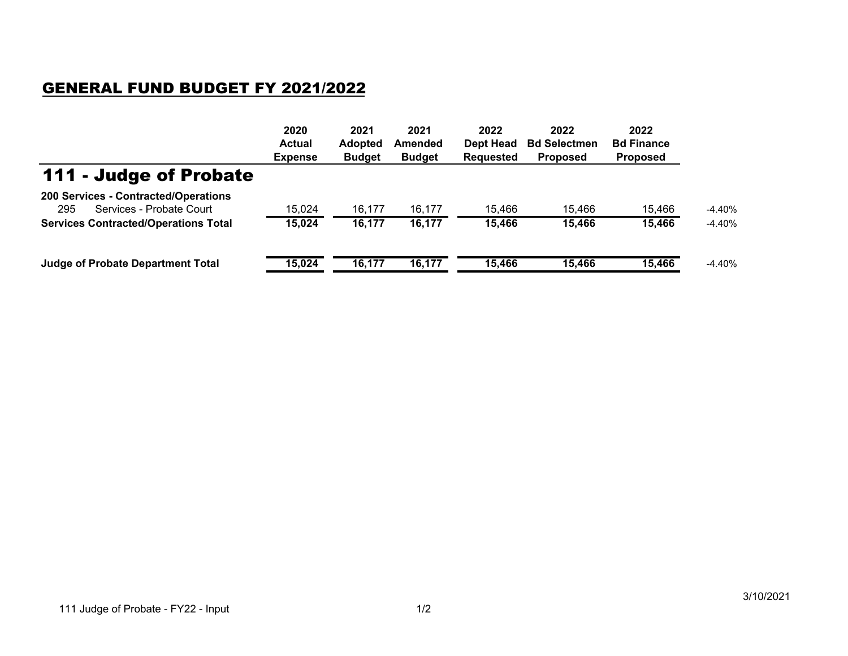## GENERAL FUND BUDGET FY 2021/2022

|                                                                         | 2020<br><b>Actual</b><br><b>Expense</b> | 2021<br><b>Adopted</b><br><b>Budget</b> | 2021<br>Amended<br><b>Budget</b> | 2022<br>Dept Head<br><b>Requested</b> | 2022<br><b>Bd Selectmen</b><br><b>Proposed</b> | 2022<br><b>Bd Finance</b><br><b>Proposed</b> |          |
|-------------------------------------------------------------------------|-----------------------------------------|-----------------------------------------|----------------------------------|---------------------------------------|------------------------------------------------|----------------------------------------------|----------|
| 111 - Judge of Probate                                                  |                                         |                                         |                                  |                                       |                                                |                                              |          |
| 200 Services - Contracted/Operations<br>Services - Probate Court<br>295 | 15,024                                  | 16.177                                  | 16,177                           | 15.466                                | 15,466                                         | 15.466                                       | $-4.40%$ |
| <b>Services Contracted/Operations Total</b>                             | 15,024                                  | 16,177                                  | 16,177                           | 15,466                                | 15,466                                         | 15,466                                       | $-4.40%$ |
| <b>Judge of Probate Department Total</b>                                | 15,024                                  | 16,177                                  | 16,177                           | 15,466                                | 15,466                                         | 15,466                                       | $-4.40%$ |